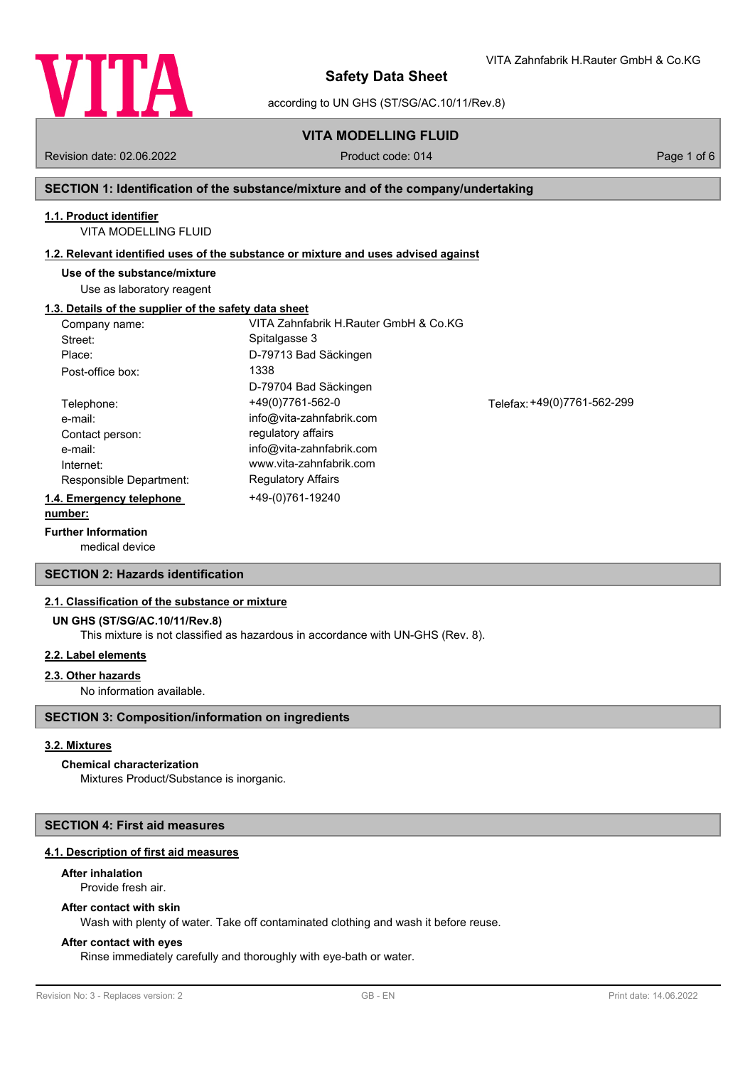

according to UN GHS (ST/SG/AC.10/11/Rev.8)

# **VITA MODELLING FLUID**

Revision date: 02.06.2022 Product code: 014 Page 1 of 6

VITA Zahnfabrik H.Rauter GmbH & Co.KG

### **SECTION 1: Identification of the substance/mixture and of the company/undertaking**

## **1.1. Product identifier**

VITA MODELLING FLUID

### **1.2. Relevant identified uses of the substance or mixture and uses advised against**

**Use of the substance/mixture**

Use as laboratory reagent

### **1.3. Details of the supplier of the safety data sheet**

| Company name:            | VITA Zahnfabrik H.Rauter GmbH & Co.KG |                             |
|--------------------------|---------------------------------------|-----------------------------|
| Street:                  | Spitalgasse 3                         |                             |
| Place:                   | D-79713 Bad Säckingen                 |                             |
| Post-office box:         | 1338                                  |                             |
|                          | D-79704 Bad Säckingen                 |                             |
| Telephone:               | +49(0)7761-562-0                      | Telefax: +49(0)7761-562-299 |
| e-mail:                  | info@vita-zahnfabrik.com              |                             |
| Contact person:          | regulatory affairs                    |                             |
| e-mail:                  | info@vita-zahnfabrik.com              |                             |
| Internet:                | www.vita-zahnfabrik.com               |                             |
| Responsible Department:  | <b>Regulatory Affairs</b>             |                             |
| 1.4. Emergency telephone | +49-(0)761-19240                      |                             |
| number:                  |                                       |                             |

### **Further Information**

medical device

### **SECTION 2: Hazards identification**

### **2.1. Classification of the substance or mixture**

#### **UN GHS (ST/SG/AC.10/11/Rev.8)**

This mixture is not classified as hazardous in accordance with UN-GHS (Rev. 8).

### **2.2. Label elements**

### **2.3. Other hazards**

No information available.

### **SECTION 3: Composition/information on ingredients**

### **3.2. Mixtures**

# **Chemical characterization**

Mixtures Product/Substance is inorganic.

# **SECTION 4: First aid measures**

## **4.1. Description of first aid measures**

# **After inhalation**

Provide fresh air.

# **After contact with skin**

Wash with plenty of water. Take off contaminated clothing and wash it before reuse.

# **After contact with eyes**

Rinse immediately carefully and thoroughly with eye-bath or water.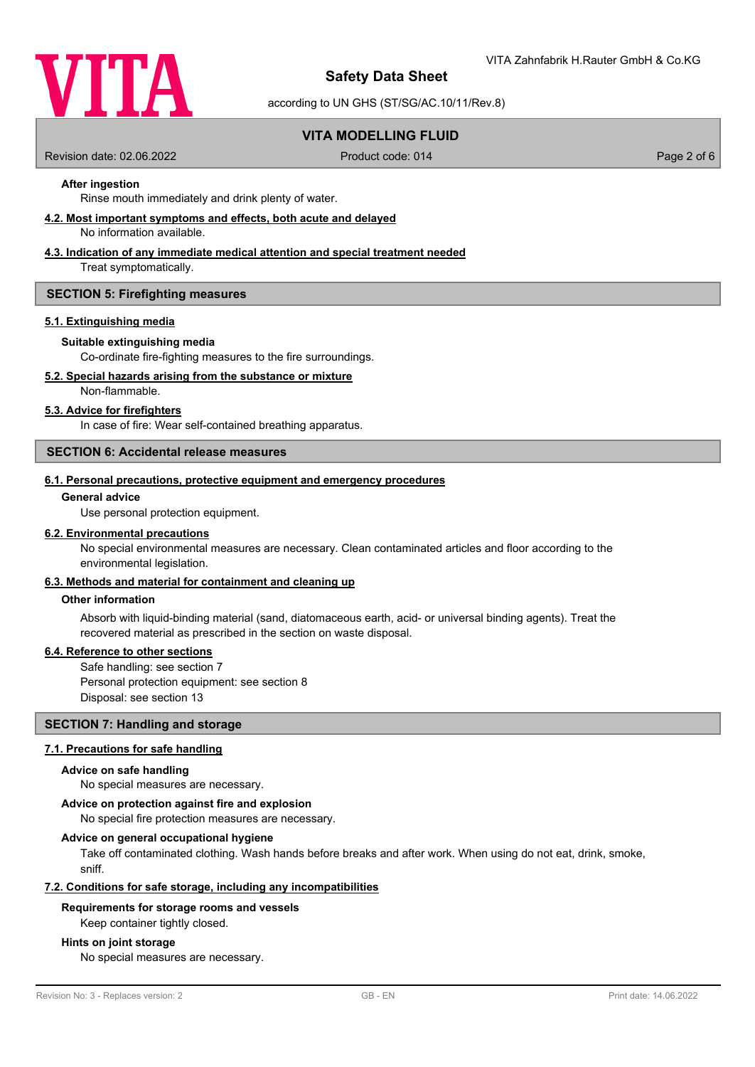

according to UN GHS (ST/SG/AC.10/11/Rev.8)

# **VITA MODELLING FLUID**

Revision date: 02.06.2022 Product code: 014 Page 2 of 6

# **After ingestion**

Rinse mouth immediately and drink plenty of water.

**4.2. Most important symptoms and effects, both acute and delayed**

No information available.

# **4.3. Indication of any immediate medical attention and special treatment needed**

Treat symptomatically.

### **SECTION 5: Firefighting measures**

### **5.1. Extinguishing media**

### **Suitable extinguishing media**

Co-ordinate fire-fighting measures to the fire surroundings.

### **5.2. Special hazards arising from the substance or mixture**

Non-flammable.

### **5.3. Advice for firefighters**

In case of fire: Wear self-contained breathing apparatus.

### **SECTION 6: Accidental release measures**

#### **6.1. Personal precautions, protective equipment and emergency procedures**

#### **General advice**

Use personal protection equipment.

### **6.2. Environmental precautions**

No special environmental measures are necessary. Clean contaminated articles and floor according to the environmental legislation.

# **6.3. Methods and material for containment and cleaning up**

### **Other information**

Absorb with liquid-binding material (sand, diatomaceous earth, acid- or universal binding agents). Treat the recovered material as prescribed in the section on waste disposal.

### **6.4. Reference to other sections**

Safe handling: see section 7 Personal protection equipment: see section 8 Disposal: see section 13

### **SECTION 7: Handling and storage**

### **7.1. Precautions for safe handling**

#### **Advice on safe handling**

No special measures are necessary.

#### **Advice on protection against fire and explosion**

No special fire protection measures are necessary.

#### **Advice on general occupational hygiene**

Take off contaminated clothing. Wash hands before breaks and after work. When using do not eat, drink, smoke, sniff.

### **7.2. Conditions for safe storage, including any incompatibilities**

### **Requirements for storage rooms and vessels**

Keep container tightly closed.

### **Hints on joint storage**

No special measures are necessary.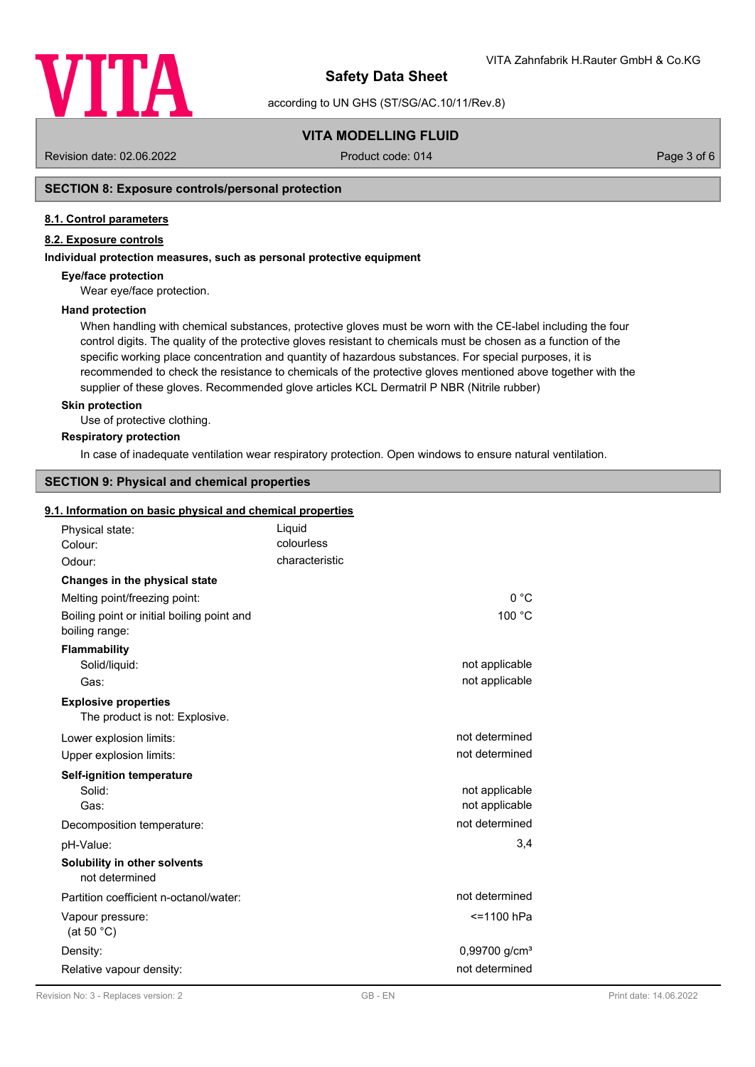

according to UN GHS (ST/SG/AC.10/11/Rev.8)

# **VITA MODELLING FLUID**

Revision date: 02.06.2022 Product code: 014 Page 3 of 6

## **SECTION 8: Exposure controls/personal protection**

### **8.1. Control parameters**

## **8.2. Exposure controls**

### **Individual protection measures, such as personal protective equipment**

### **Eye/face protection**

Wear eye/face protection.

### **Hand protection**

When handling with chemical substances, protective gloves must be worn with the CE-label including the four control digits. The quality of the protective gloves resistant to chemicals must be chosen as a function of the specific working place concentration and quantity of hazardous substances. For special purposes, it is recommended to check the resistance to chemicals of the protective gloves mentioned above together with the supplier of these gloves. Recommended glove articles KCL Dermatril P NBR (Nitrile rubber)

### **Skin protection**

Use of protective clothing.

### **Respiratory protection**

In case of inadequate ventilation wear respiratory protection. Open windows to ensure natural ventilation.

# **SECTION 9: Physical and chemical properties**

### **9.1. Information on basic physical and chemical properties**

| Physical state:<br>Colour:                                    | Liquid<br>colourless |                           |
|---------------------------------------------------------------|----------------------|---------------------------|
| Odour:                                                        | characteristic       |                           |
| Changes in the physical state                                 |                      |                           |
| Melting point/freezing point:                                 |                      | 0 °C                      |
| Boiling point or initial boiling point and<br>boiling range:  |                      | 100 °C                    |
| <b>Flammability</b>                                           |                      |                           |
| Solid/liquid:                                                 |                      | not applicable            |
| Gas:                                                          |                      | not applicable            |
| <b>Explosive properties</b><br>The product is not: Explosive. |                      |                           |
| Lower explosion limits:                                       |                      | not determined            |
| Upper explosion limits:                                       |                      | not determined            |
| <b>Self-ignition temperature</b>                              |                      |                           |
| Solid:                                                        |                      | not applicable            |
| Gas:                                                          |                      | not applicable            |
| Decomposition temperature:                                    |                      | not determined            |
| pH-Value:                                                     |                      | 3,4                       |
| Solubility in other solvents<br>not determined                |                      |                           |
| Partition coefficient n-octanol/water:                        |                      | not determined            |
| Vapour pressure:<br>(at 50 $°C$ )                             |                      | <=1100 hPa                |
| Density:                                                      |                      | 0,99700 g/cm <sup>3</sup> |
| Relative vapour density:                                      |                      | not determined            |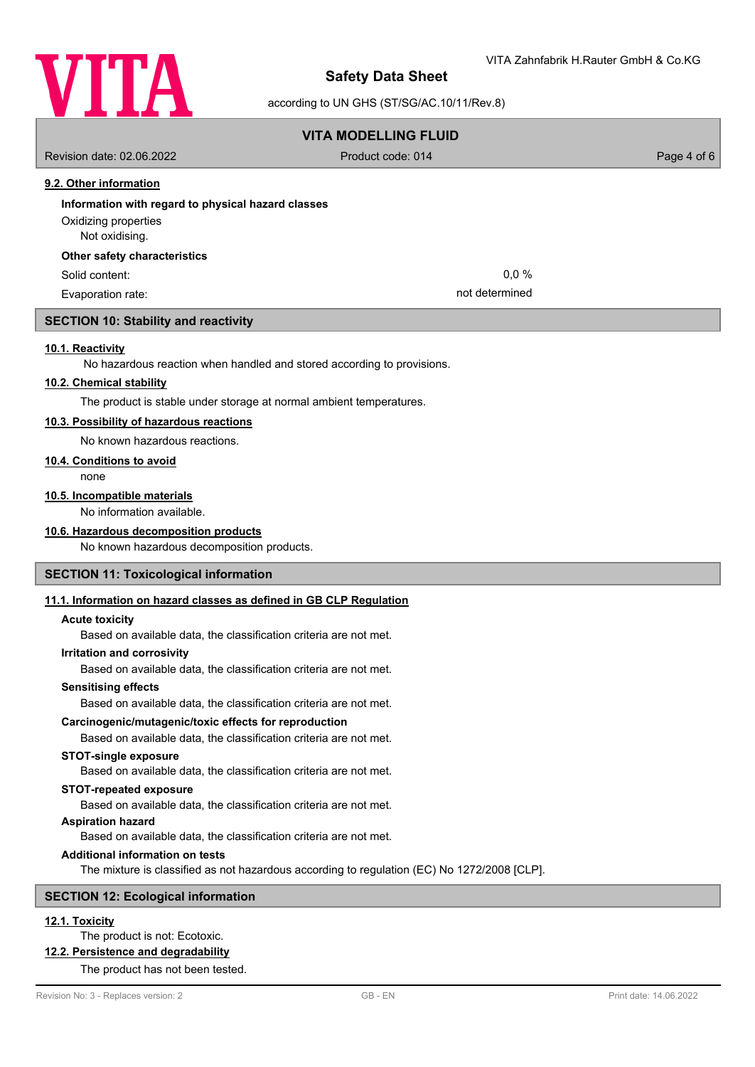

according to UN GHS (ST/SG/AC.10/11/Rev.8)

# **VITA MODELLING FLUID**

Revision date: 02.06.2022 Product code: 014 Page 4 of 6

# **9.2. Other information**

# **Information with regard to physical hazard classes** Not oxidising. Oxidizing properties **Other safety characteristics** Solid content: 0,0 %

Evaporation rate: not determined

### **SECTION 10: Stability and reactivity**

### **10.1. Reactivity**

No hazardous reaction when handled and stored according to provisions.

### **10.2. Chemical stability**

The product is stable under storage at normal ambient temperatures.

### **10.3. Possibility of hazardous reactions**

No known hazardous reactions.

### **10.4. Conditions to avoid**

none

### **10.5. Incompatible materials**

No information available.

### **10.6. Hazardous decomposition products**

No known hazardous decomposition products.

### **SECTION 11: Toxicological information**

### **11.1. Information on hazard classes as defined in GB CLP Regulation**

### **Acute toxicity**

Based on available data, the classification criteria are not met.

### **Irritation and corrosivity**

Based on available data, the classification criteria are not met.

### **Sensitising effects**

Based on available data, the classification criteria are not met.

## **Carcinogenic/mutagenic/toxic effects for reproduction**

Based on available data, the classification criteria are not met.

#### **STOT-single exposure**

Based on available data, the classification criteria are not met.

### **STOT-repeated exposure**

Based on available data, the classification criteria are not met.

### **Aspiration hazard**

Based on available data, the classification criteria are not met.

# **Additional information on tests**

The mixture is classified as not hazardous according to regulation (EC) No 1272/2008 [CLP].

## **SECTION 12: Ecological information**

# **12.1. Toxicity**

# The product is not: Ecotoxic.

**12.2. Persistence and degradability**

# The product has not been tested.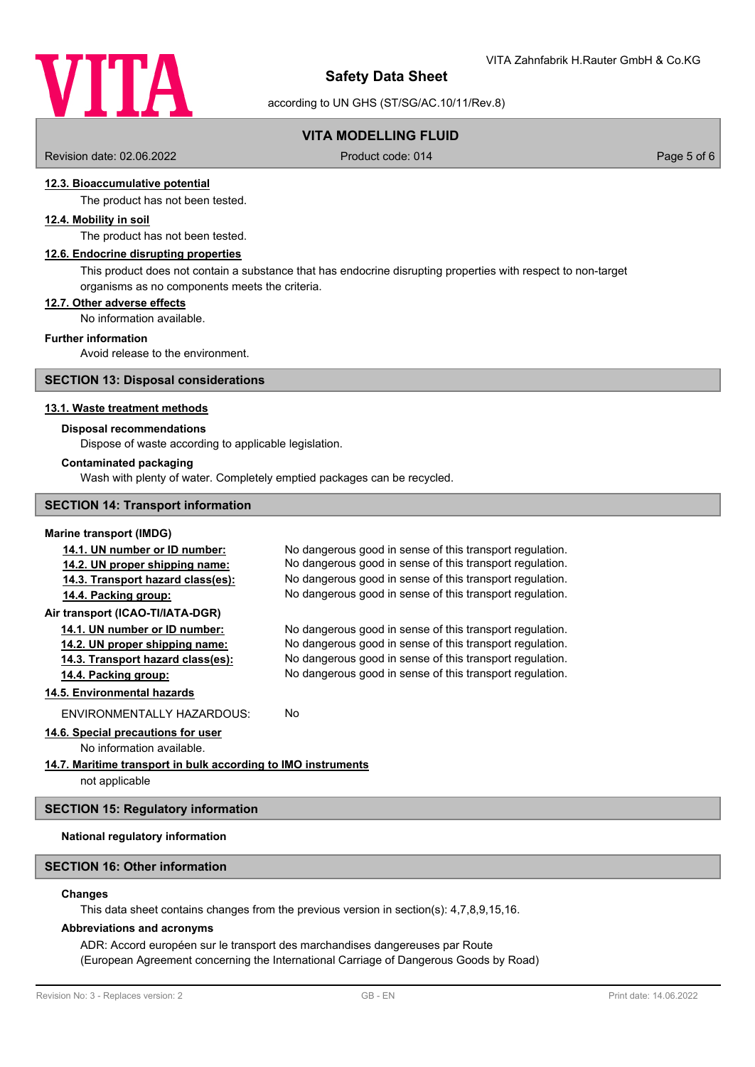

according to UN GHS (ST/SG/AC.10/11/Rev.8)

# **VITA MODELLING FLUID**

Revision date: 02.06.2022 Product code: 014 Page 5 of 6

## **12.3. Bioaccumulative potential**

The product has not been tested.

## **12.4. Mobility in soil**

The product has not been tested.

## **12.6. Endocrine disrupting properties**

This product does not contain a substance that has endocrine disrupting properties with respect to non-target organisms as no components meets the criteria.

### **12.7. Other adverse effects**

No information available.

### **Further information**

Avoid release to the environment.

### **SECTION 13: Disposal considerations**

### **13.1. Waste treatment methods**

### **Disposal recommendations**

Dispose of waste according to applicable legislation.

#### **Contaminated packaging**

Wash with plenty of water. Completely emptied packages can be recycled.

### **SECTION 14: Transport information**

#### **Marine transport (IMDG)**

| 14.1. UN number or ID number:     | No dangerous good in sense of this transport regulation. |
|-----------------------------------|----------------------------------------------------------|
| 14.2. UN proper shipping name:    | No dangerous good in sense of this transport regulation. |
| 14.3. Transport hazard class(es): | No dangerous good in sense of this transport regulation. |
| 14.4. Packing group:              | No dangerous good in sense of this transport regulation. |
| Air transport (ICAO-TI/IATA-DGR)  |                                                          |
| 14.1. UN number or ID number:     | No dangerous good in sense of this transport regulation. |
| 14.2. UN proper shipping name:    | No dangerous good in sense of this transport regulation. |
| 14.3. Transport hazard class(es): | No dangerous good in sense of this transport regulation. |
| 14.4. Packing group:              | No dangerous good in sense of this transport regulation. |
| 14.5. Environmental hazards       |                                                          |
| ENVIRONMENTALLY HAZARDOUS:        | No.                                                      |
|                                   |                                                          |

# **14.6. Special precautions for user**

No information available.

# **14.7. Maritime transport in bulk according to IMO instruments**

not applicable

### **SECTION 15: Regulatory information**

## **National regulatory information**

## **SECTION 16: Other information**

### **Changes**

This data sheet contains changes from the previous version in section(s): 4,7,8,9,15,16.

#### **Abbreviations and acronyms**

ADR: Accord européen sur le transport des marchandises dangereuses par Route (European Agreement concerning the International Carriage of Dangerous Goods by Road)